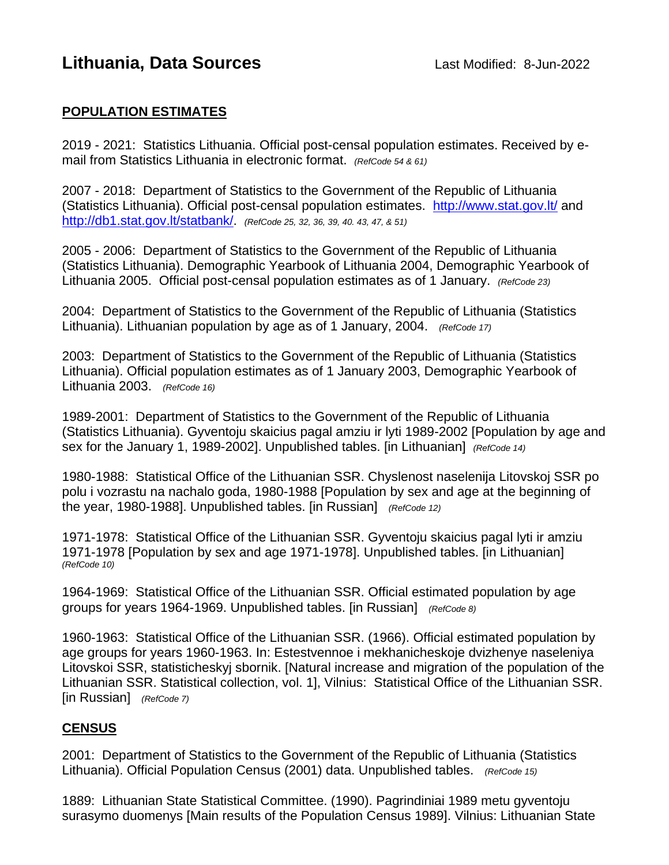# **Lithuania, Data Sources Last Modified: 8-Jun-2022**

### **POPULATION ESTIMATES**

2019 - 2021: Statistics Lithuania. Official post-censal population estimates. Received by email from Statistics Lithuania in electronic format. *(RefCode 54 & 61)*

2007 - 2018: Department of Statistics to the Government of the Republic of Lithuania (Statistics Lithuania). Official post-censal population estimates. <http://www.stat.gov.lt/> and [http://db1.stat.gov.lt/statbank/.](http://db1.stat.gov.lt/statbank/) *(RefCode 25, 32, 36, 39, 40. 43, 47, & 51)*

2005 - 2006: Department of Statistics to the Government of the Republic of Lithuania (Statistics Lithuania). Demographic Yearbook of Lithuania 2004, Demographic Yearbook of Lithuania 2005. Official post-censal population estimates as of 1 January. *(RefCode 23)*

2004: Department of Statistics to the Government of the Republic of Lithuania (Statistics Lithuania). Lithuanian population by age as of 1 January, 2004. *(RefCode 17)*

2003: Department of Statistics to the Government of the Republic of Lithuania (Statistics Lithuania). Official population estimates as of 1 January 2003, Demographic Yearbook of Lithuania 2003. *(RefCode 16)*

1989-2001: Department of Statistics to the Government of the Republic of Lithuania (Statistics Lithuania). Gyventoju skaicius pagal amziu ir lyti 1989-2002 [Population by age and sex for the January 1, 1989-2002]. Unpublished tables. [in Lithuanian] *(RefCode 14)*

1980-1988: Statistical Office of the Lithuanian SSR. Chyslenost naselenija Litovskoj SSR po polu i vozrastu na nachalo goda, 1980-1988 [Population by sex and age at the beginning of the year, 1980-1988]. Unpublished tables. [in Russian] *(RefCode 12)*

1971-1978: Statistical Office of the Lithuanian SSR. Gyventoju skaicius pagal lyti ir amziu 1971-1978 [Population by sex and age 1971-1978]. Unpublished tables. [in Lithuanian] *(RefCode 10)*

1964-1969: Statistical Office of the Lithuanian SSR. Official estimated population by age groups for years 1964-1969. Unpublished tables. [in Russian] *(RefCode 8)*

1960-1963: Statistical Office of the Lithuanian SSR. (1966). Official estimated population by age groups for years 1960-1963. In: Estestvennoe i mekhanicheskoje dvizhenye naseleniya Litovskoi SSR, statisticheskyj sbornik. [Natural increase and migration of the population of the Lithuanian SSR. Statistical collection, vol. 1], Vilnius: Statistical Office of the Lithuanian SSR. [in Russian] *(RefCode 7)*

#### **CENSUS**

2001: Department of Statistics to the Government of the Republic of Lithuania (Statistics Lithuania). Official Population Census (2001) data. Unpublished tables. *(RefCode 15)*

1889: Lithuanian State Statistical Committee. (1990). Pagrindiniai 1989 metu gyventoju surasymo duomenys [Main results of the Population Census 1989]. Vilnius: Lithuanian State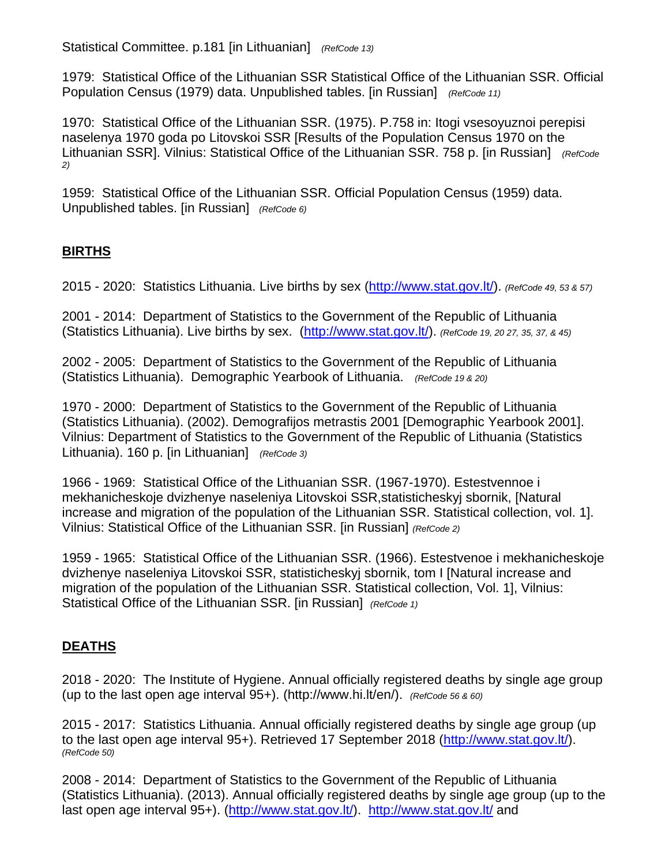Statistical Committee. p.181 [in Lithuanian] *(RefCode 13)*

1979: Statistical Office of the Lithuanian SSR Statistical Office of the Lithuanian SSR. Official Population Census (1979) data. Unpublished tables. [in Russian] *(RefCode 11)*

1970: Statistical Office of the Lithuanian SSR. (1975). P.758 in: Itogi vsesoyuznoi perepisi naselenya 1970 goda po Litovskoi SSR [Results of the Population Census 1970 on the Lithuanian SSR]. Vilnius: Statistical Office of the Lithuanian SSR. 758 p. [in Russian] *(RefCode 2)*

1959: Statistical Office of the Lithuanian SSR. Official Population Census (1959) data. Unpublished tables. [in Russian] *(RefCode 6)* 

## **BIRTHS**

2015 - 2020: Statistics Lithuania. Live births by sex [\(http://www.stat.gov.lt/\)](http://www.stat.gov.lt/). *(RefCode 49, 53 & 57)*

2001 - 2014: Department of Statistics to the Government of the Republic of Lithuania (Statistics Lithuania). Live births by sex. [\(http://www.stat.gov.lt/\)](http://www.stat.gov.lt/). *(RefCode 19, 20 27, 35, 37, & 45)*

2002 - 2005: Department of Statistics to the Government of the Republic of Lithuania (Statistics Lithuania). Demographic Yearbook of Lithuania. *(RefCode 19 & 20)*

1970 - 2000: Department of Statistics to the Government of the Republic of Lithuania (Statistics Lithuania). (2002). Demografijos metrastis 2001 [Demographic Yearbook 2001]. Vilnius: Department of Statistics to the Government of the Republic of Lithuania (Statistics Lithuania). 160 p. [in Lithuanian] *(RefCode 3)*

1966 - 1969: Statistical Office of the Lithuanian SSR. (1967-1970). Estestvennoe i mekhanicheskoje dvizhenye naseleniya Litovskoi SSR,statisticheskyj sbornik, [Natural increase and migration of the population of the Lithuanian SSR. Statistical collection, vol. 1]. Vilnius: Statistical Office of the Lithuanian SSR. [in Russian] *(RefCode 2)*

1959 - 1965: Statistical Office of the Lithuanian SSR. (1966). Estestvenoe i mekhanicheskoje dvizhenye naseleniya Litovskoi SSR, statisticheskyj sbornik, tom I [Natural increase and migration of the population of the Lithuanian SSR. Statistical collection, Vol. 1], Vilnius: Statistical Office of the Lithuanian SSR. [in Russian] *(RefCode 1)*

## **DEATHS**

2018 - 2020: The Institute of Hygiene. Annual officially registered deaths by single age group (up to the last open age interval 95+). (http://www.hi.lt/en/). *(RefCode 56 & 60)*

2015 - 2017: Statistics Lithuania. Annual officially registered deaths by single age group (up to the last open age interval 95+). Retrieved 17 September 2018 [\(http://www.stat.gov.lt/\)](http://www.stat.gov.lt/). *(RefCode 50)*

2008 - 2014: Department of Statistics to the Government of the Republic of Lithuania (Statistics Lithuania). (2013). Annual officially registered deaths by single age group (up to the last open age interval 95+). [\(http://www.stat.gov.lt/\)](http://www.stat.gov.lt/). <http://www.stat.gov.lt/> and